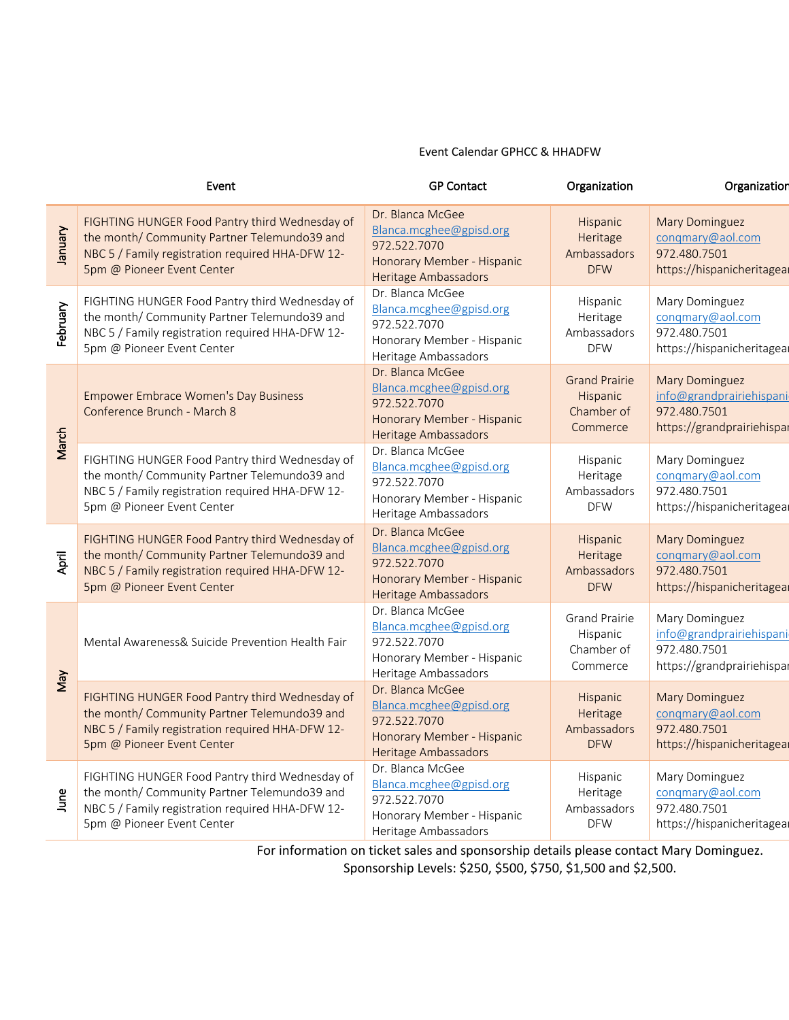## Event Calendar GPHCC & HHADFW

| Event    |                                                                                                                                                                                  | <b>GP Contact</b>                                                                                                 | Organization                                                      | Organization                                                                                    |
|----------|----------------------------------------------------------------------------------------------------------------------------------------------------------------------------------|-------------------------------------------------------------------------------------------------------------------|-------------------------------------------------------------------|-------------------------------------------------------------------------------------------------|
| January  | FIGHTING HUNGER Food Pantry third Wednesday of<br>the month/ Community Partner Telemundo39 and<br>NBC 5 / Family registration required HHA-DFW 12-<br>5pm @ Pioneer Event Center | Dr. Blanca McGee<br>Blanca.mcghee@gpisd.org<br>972.522.7070<br>Honorary Member - Hispanic<br>Heritage Ambassadors | <b>Hispanic</b><br>Heritage<br>Ambassadors<br><b>DFW</b>          | <b>Mary Dominguez</b><br>conqmary@aol.com<br>972.480.7501<br>https://hispanicheritagea          |
| February | FIGHTING HUNGER Food Pantry third Wednesday of<br>the month/ Community Partner Telemundo39 and<br>NBC 5 / Family registration required HHA-DFW 12-<br>5pm @ Pioneer Event Center | Dr. Blanca McGee<br>Blanca.mcghee@gpisd.org<br>972.522.7070<br>Honorary Member - Hispanic<br>Heritage Ambassadors | Hispanic<br>Heritage<br>Ambassadors<br><b>DFW</b>                 | Mary Dominguez<br>conqmary@aol.com<br>972.480.7501<br>https://hispanicheritageal                |
| March    | <b>Empower Embrace Women's Day Business</b><br>Conference Brunch - March 8                                                                                                       | Dr. Blanca McGee<br>Blanca.mcghee@gpisd.org<br>972.522.7070<br>Honorary Member - Hispanic<br>Heritage Ambassadors | <b>Grand Prairie</b><br><b>Hispanic</b><br>Chamber of<br>Commerce | <b>Mary Dominguez</b><br>info@grandprairiehispani<br>972.480.7501<br>https://grandprairiehispal |
|          | FIGHTING HUNGER Food Pantry third Wednesday of<br>the month/ Community Partner Telemundo39 and<br>NBC 5 / Family registration required HHA-DFW 12-<br>5pm @ Pioneer Event Center | Dr. Blanca McGee<br>Blanca.mcghee@gpisd.org<br>972.522.7070<br>Honorary Member - Hispanic<br>Heritage Ambassadors | Hispanic<br>Heritage<br>Ambassadors<br><b>DFW</b>                 | Mary Dominguez<br>conqmary@aol.com<br>972.480.7501<br>https://hispanicheritageal                |
| April    | FIGHTING HUNGER Food Pantry third Wednesday of<br>the month/ Community Partner Telemundo39 and<br>NBC 5 / Family registration required HHA-DFW 12-<br>5pm @ Pioneer Event Center | Dr. Blanca McGee<br>Blanca.mcghee@gpisd.org<br>972.522.7070<br>Honorary Member - Hispanic<br>Heritage Ambassadors | <b>Hispanic</b><br>Heritage<br>Ambassadors<br><b>DFW</b>          | <b>Mary Dominguez</b><br>conqmary@aol.com<br>972.480.7501<br>https://hispanicheritagea          |
| Vay      | Mental Awareness& Suicide Prevention Health Fair                                                                                                                                 | Dr. Blanca McGee<br>Blanca.mcghee@gpisd.org<br>972.522.7070<br>Honorary Member - Hispanic<br>Heritage Ambassadors | <b>Grand Prairie</b><br>Hispanic<br>Chamber of<br>Commerce        | Mary Dominguez<br>info@grandprairiehispani<br>972.480.7501<br>https://grandprairiehispal        |
|          | FIGHTING HUNGER Food Pantry third Wednesday of<br>the month/ Community Partner Telemundo39 and<br>NBC 5 / Family registration required HHA-DFW 12-<br>5pm @ Pioneer Event Center | Dr. Blanca McGee<br>Blanca.mcghee@gpisd.org<br>972.522.7070<br>Honorary Member - Hispanic<br>Heritage Ambassadors | Hispanic<br>Heritage<br>Ambassadors<br><b>DFW</b>                 | <b>Mary Dominguez</b><br>conqmary@aol.com<br>972.480.7501<br>https://hispanicheritagea          |
| June     | FIGHTING HUNGER Food Pantry third Wednesday of<br>the month/ Community Partner Telemundo39 and<br>NBC 5 / Family registration required HHA-DFW 12-<br>5pm @ Pioneer Event Center | Dr. Blanca McGee<br>Blanca.mcghee@gpisd.org<br>972.522.7070<br>Honorary Member - Hispanic<br>Heritage Ambassadors | Hispanic<br>Heritage<br>Ambassadors<br><b>DFW</b>                 | Mary Dominguez<br>conqmary@aol.com<br>972.480.7501<br>https://hispanicheritageal                |

For information on ticket sales and sponsorship details please contact Mary Dominguez. Sponsorship Levels: \$250, \$500, \$750, \$1,500 and \$2,500.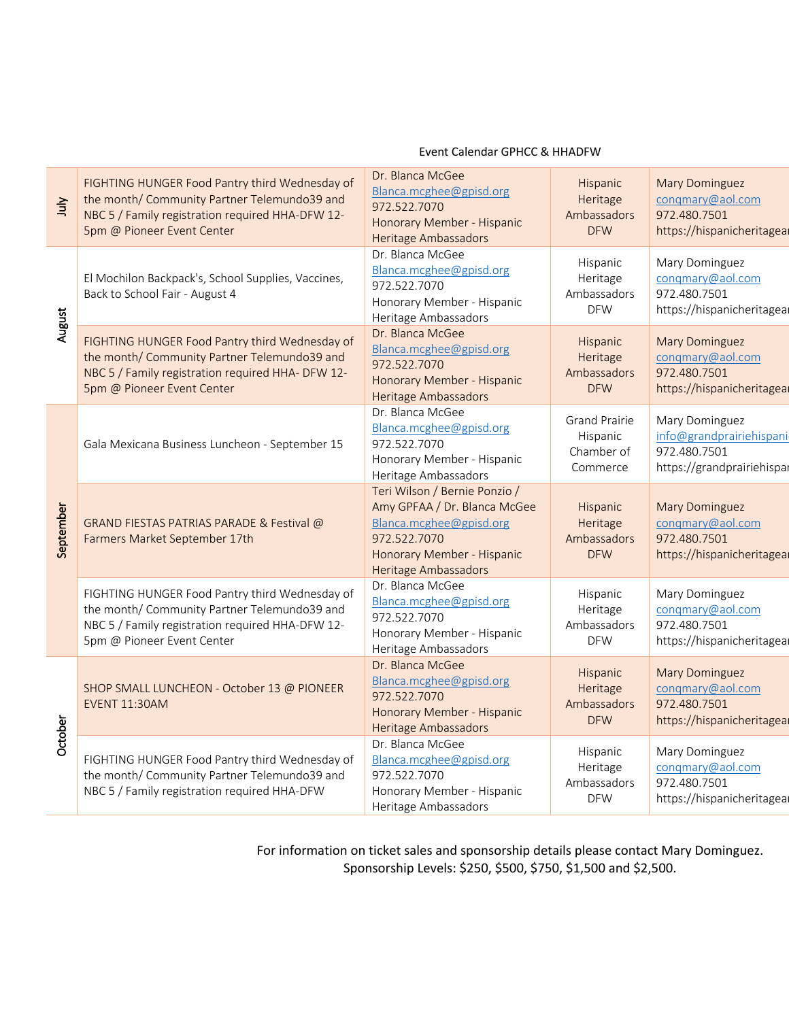| 与         | FIGHTING HUNGER Food Pantry third Wednesday of<br>the month/ Community Partner Telemundo39 and<br>NBC 5 / Family registration required HHA-DFW 12-<br>5pm @ Pioneer Event Center  | Dr. Blanca McGee<br>Blanca.mcghee@gpisd.org<br>972.522.7070<br>Honorary Member - Hispanic<br>Heritage Ambassadors                                              | Hispanic<br>Heritage<br>Ambassadors<br><b>DFW</b>          | <b>Mary Dominguez</b><br>conqmary@aol.com<br>972.480.7501<br>https://hispanicheritagea   |
|-----------|-----------------------------------------------------------------------------------------------------------------------------------------------------------------------------------|----------------------------------------------------------------------------------------------------------------------------------------------------------------|------------------------------------------------------------|------------------------------------------------------------------------------------------|
| August    | El Mochilon Backpack's, School Supplies, Vaccines,<br>Back to School Fair - August 4                                                                                              | Dr. Blanca McGee<br>Blanca.mcghee@gpisd.org<br>972.522.7070<br>Honorary Member - Hispanic<br>Heritage Ambassadors                                              | Hispanic<br>Heritage<br>Ambassadors<br><b>DFW</b>          | Mary Dominguez<br>congmary@aol.com<br>972.480.7501<br>https://hispanicheritagea          |
|           | FIGHTING HUNGER Food Pantry third Wednesday of<br>the month/ Community Partner Telemundo39 and<br>NBC 5 / Family registration required HHA- DFW 12-<br>5pm @ Pioneer Event Center | Dr. Blanca McGee<br>Blanca.mcghee@gpisd.org<br>972.522.7070<br>Honorary Member - Hispanic<br>Heritage Ambassadors                                              | Hispanic<br>Heritage<br>Ambassadors<br><b>DFW</b>          | <b>Mary Dominguez</b><br>congmary@aol.com<br>972.480.7501<br>https://hispanicheritagea   |
| September | Gala Mexicana Business Luncheon - September 15                                                                                                                                    | Dr. Blanca McGee<br>Blanca.mcghee@gpisd.org<br>972.522.7070<br>Honorary Member - Hispanic<br>Heritage Ambassadors                                              | <b>Grand Prairie</b><br>Hispanic<br>Chamber of<br>Commerce | Mary Dominguez<br>info@grandprairiehispani<br>972.480.7501<br>https://grandprairiehispal |
|           | GRAND FIESTAS PATRIAS PARADE & Festival @<br>Farmers Market September 17th                                                                                                        | Teri Wilson / Bernie Ponzio /<br>Amy GPFAA / Dr. Blanca McGee<br>Blanca.mcghee@gpisd.org<br>972.522.7070<br>Honorary Member - Hispanic<br>Heritage Ambassadors | Hispanic<br>Heritage<br>Ambassadors<br><b>DFW</b>          | <b>Mary Dominguez</b><br>congmary@aol.com<br>972.480.7501<br>https://hispanicheritagea   |
|           | FIGHTING HUNGER Food Pantry third Wednesday of<br>the month/ Community Partner Telemundo39 and<br>NBC 5 / Family registration required HHA-DFW 12-<br>5pm @ Pioneer Event Center  | Dr. Blanca McGee<br>Blanca.mcghee@gpisd.org<br>972.522.7070<br>Honorary Member - Hispanic<br>Heritage Ambassadors                                              | Hispanic<br>Heritage<br>Ambassadors<br><b>DFW</b>          | Mary Dominguez<br>congmary@aol.com<br>972.480.7501<br>https://hispanicheritagea          |
| October   | SHOP SMALL LUNCHEON - October 13 @ PIONEER<br><b>EVENT 11:30AM</b>                                                                                                                | Dr. Blanca McGee<br>Blanca.mcghee@gpisd.org<br>972.522.7070<br>Honorary Member - Hispanic<br>Heritage Ambassadors                                              | Hispanic<br>Heritage<br>Ambassadors<br><b>DFW</b>          | <b>Mary Dominguez</b><br>congmary@aol.com<br>972.480.7501<br>https://hispanicheritagea   |
|           | FIGHTING HUNGER Food Pantry third Wednesday of<br>the month/ Community Partner Telemundo39 and<br>NBC 5 / Family registration required HHA-DFW                                    | Dr. Blanca McGee<br>Blanca.mcghee@gpisd.org<br>972.522.7070<br>Honorary Member - Hispanic<br>Heritage Ambassadors                                              | Hispanic<br>Heritage<br>Ambassadors<br><b>DFW</b>          | Mary Dominguez<br>conqmary@aol.com<br>972.480.7501<br>https://hispanicheritagea          |

## Event Calendar GPHCC & HHADFW

For information on ticket sales and sponsorship details please contact Mary Dominguez. Sponsorship Levels: \$250, \$500, \$750, \$1,500 and \$2,500.